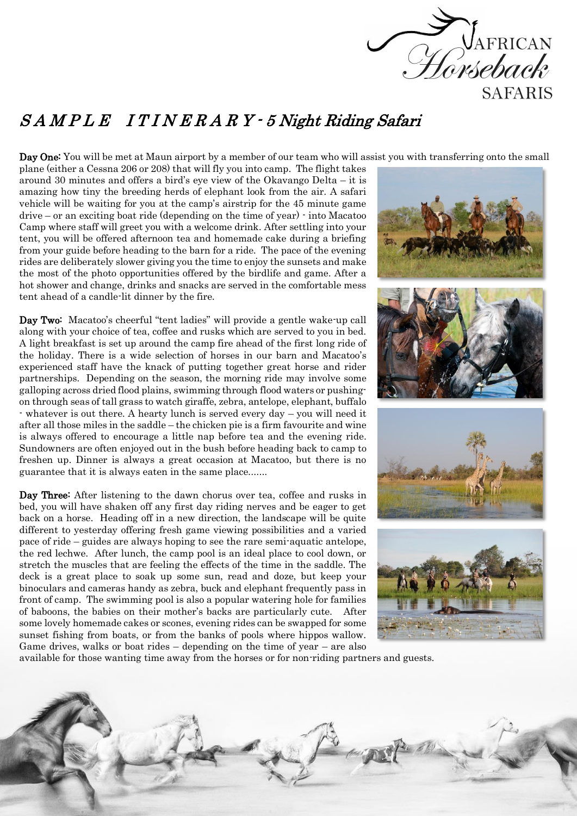

## S A M P L E I T I N E R A R Y - 5 Night Riding Safari

Day One: You will be met at Maun airport by a member of our team who will assist you with transferring onto the small

plane (either a Cessna 206 or 208) that will fly you into camp. The flight takes around 30 minutes and offers a bird's eye view of the Okavango Delta – it is amazing how tiny the breeding herds of elephant look from the air. A safari vehicle will be waiting for you at the camp's airstrip for the 45 minute game drive – or an exciting boat ride (depending on the time of year) - into Macatoo Camp where staff will greet you with a welcome drink. After settling into your tent, you will be offered afternoon tea and homemade cake during a briefing from your guide before heading to the barn for a ride. The pace of the evening rides are deliberately slower giving you the time to enjoy the sunsets and make the most of the photo opportunities offered by the birdlife and game. After a hot shower and change, drinks and snacks are served in the comfortable mess tent ahead of a candle-lit dinner by the fire.

Day Two: Macatoo's cheerful "tent ladies" will provide a gentle wake-up call along with your choice of tea, coffee and rusks which are served to you in bed. A light breakfast is set up around the camp fire ahead of the first long ride of the holiday. There is a wide selection of horses in our barn and Macatoo's experienced staff have the knack of putting together great horse and rider partnerships. Depending on the season, the morning ride may involve some galloping across dried flood plains, swimming through flood waters or pushingon through seas of tall grass to watch giraffe, zebra, antelope, elephant, buffalo - whatever is out there. A hearty lunch is served every day – you will need it after all those miles in the saddle – the chicken pie is a firm favourite and wine is always offered to encourage a little nap before tea and the evening ride. Sundowners are often enjoyed out in the bush before heading back to camp to freshen up. Dinner is always a great occasion at Macatoo, but there is no guarantee that it is always eaten in the same place.......

Day Three: After listening to the dawn chorus over tea, coffee and rusks in bed, you will have shaken off any first day riding nerves and be eager to get back on a horse. Heading off in a new direction, the landscape will be quite different to yesterday offering fresh game viewing possibilities and a varied pace of ride – guides are always hoping to see the rare semi-aquatic antelope, the red lechwe. After lunch, the camp pool is an ideal place to cool down, or stretch the muscles that are feeling the effects of the time in the saddle. The deck is a great place to soak up some sun, read and doze, but keep your binoculars and cameras handy as zebra, buck and elephant frequently pass in front of camp. The swimming pool is also a popular watering hole for families of baboons, the babies on their mother's backs are particularly cute. After some lovely homemade cakes or scones, evening rides can be swapped for some sunset fishing from boats, or from the banks of pools where hippos wallow. Game drives, walks or boat rides – depending on the time of year – are also



available for those wanting time away from the horses or for non-riding partners and guests.

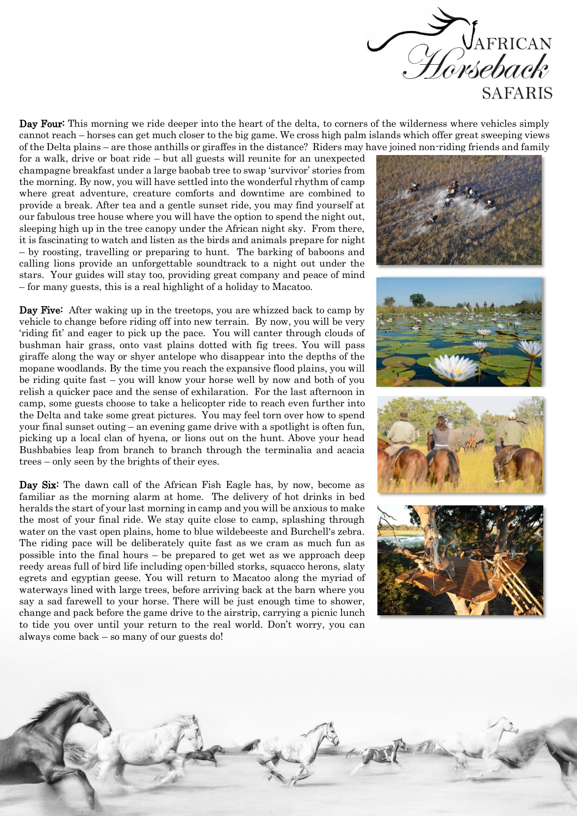

Day Four: This morning we ride deeper into the heart of the delta, to corners of the wilderness where vehicles simply cannot reach – horses can get much closer to the big game. We cross high palm islands which offer great sweeping views of the Delta plains – are those anthills or giraffes in the distance? Riders may have joined non-riding friends and family

for a walk, drive or boat ride – but all guests will reunite for an unexpected champagne breakfast under a large baobab tree to swap 'survivor' stories from the morning. By now, you will have settled into the wonderful rhythm of camp where great adventure, creature comforts and downtime are combined to provide a break. After tea and a gentle sunset ride, you may find yourself at our fabulous tree house where you will have the option to spend the night out, sleeping high up in the tree canopy under the African night sky. From there, it is fascinating to watch and listen as the birds and animals prepare for night – by roosting, travelling or preparing to hunt. The barking of baboons and calling lions provide an unforgettable soundtrack to a night out under the stars. Your guides will stay too, providing great company and peace of mind – for many guests, this is a real highlight of a holiday to Macatoo.

Day Five: After waking up in the treetops, you are whizzed back to camp by vehicle to change before riding off into new terrain. By now, you will be very 'riding fit' and eager to pick up the pace. You will canter through clouds of bushman hair grass, onto vast plains dotted with fig trees. You will pass giraffe along the way or shyer antelope who disappear into the depths of the mopane woodlands. By the time you reach the expansive flood plains, you will be riding quite fast – you will know your horse well by now and both of you relish a quicker pace and the sense of exhilaration. For the last afternoon in camp, some guests choose to take a helicopter ride to reach even further into the Delta and take some great pictures. You may feel torn over how to spend your final sunset outing – an evening game drive with a spotlight is often fun, picking up a local clan of hyena, or lions out on the hunt. Above your head Bushbabies leap from branch to branch through the terminalia and acacia trees – only seen by the brights of their eyes.

Day Six: The dawn call of the African Fish Eagle has, by now, become as familiar as the morning alarm at home. The delivery of hot drinks in bed heralds the start of your last morning in camp and you will be anxious to make the most of your final ride. We stay quite close to camp, splashing through water on the vast open plains, home to blue wildebeeste and Burchell's zebra. The riding pace will be deliberately quite fast as we cram as much fun as possible into the final hours – be prepared to get wet as we approach deep reedy areas full of bird life including open-billed storks, squacco herons, slaty egrets and egyptian geese. You will return to Macatoo along the myriad of waterways lined with large trees, before arriving back at the barn where you say a sad farewell to your horse. There will be just enough time to shower, change and pack before the game drive to the airstrip, carrying a picnic lunch to tide you over until your return to the real world. Don't worry, you can always come back – so many of our guests do!